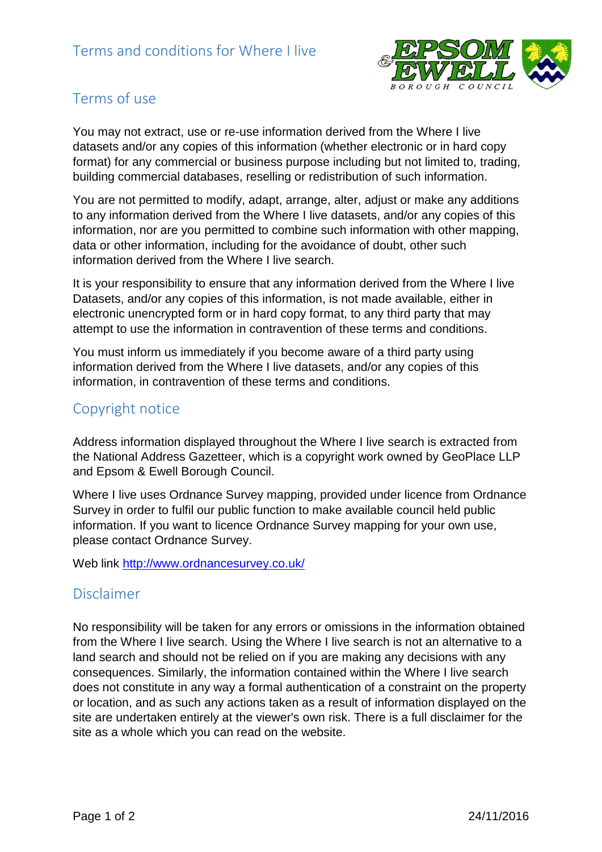

## Terms of use

You may not extract, use or re-use information derived from the Where I live datasets and/or any copies of this information (whether electronic or in hard copy format) for any commercial or business purpose including but not limited to, trading, building commercial databases, reselling or redistribution of such information.

You are not permitted to modify, adapt, arrange, alter, adjust or make any additions to any information derived from the Where I live datasets, and/or any copies of this information, nor are you permitted to combine such information with other mapping, data or other information, including for the avoidance of doubt, other such information derived from the Where I live search.

It is your responsibility to ensure that any information derived from the Where I live Datasets, and/or any copies of this information, is not made available, either in electronic unencrypted form or in hard copy format, to any third party that may attempt to use the information in contravention of these terms and conditions.

You must inform us immediately if you become aware of a third party using information derived from the Where I live datasets, and/or any copies of this information, in contravention of these terms and conditions.

## Copyright notice

Address information displayed throughout the Where I live search is extracted from the National Address Gazetteer, which is a copyright work owned by GeoPlace LLP and Epsom & Ewell Borough Council.

Where I live uses Ordnance Survey mapping, provided under licence from Ordnance Survey in order to fulfil our public function to make available council held public information. If you want to licence Ordnance Survey mapping for your own use, please contact Ordnance Survey.

Web link<http://www.ordnancesurvey.co.uk/>

## Disclaimer

No responsibility will be taken for any errors or omissions in the information obtained from the Where I live search. Using the Where I live search is not an alternative to a land search and should not be relied on if you are making any decisions with any consequences. Similarly, the information contained within the Where I live search does not constitute in any way a formal authentication of a constraint on the property or location, and as such any actions taken as a result of information displayed on the site are undertaken entirely at the viewer's own risk. There is a full disclaimer for the site as a whole which you can read on the website.